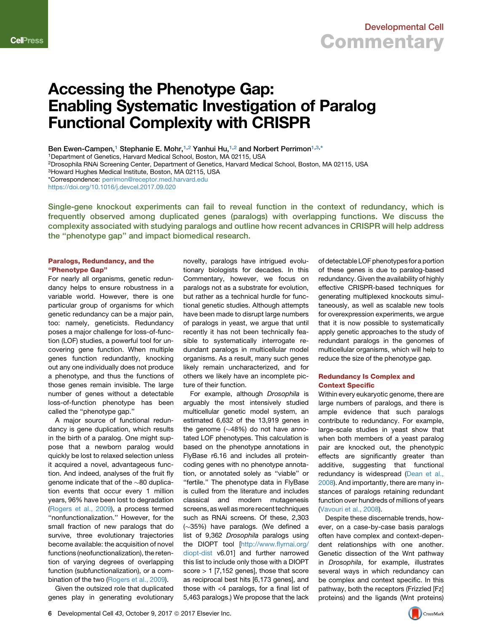

# Accessing the Phenotype Gap: Enabling Systematic Investigation of Paralog Functional Complexity with CRISPR

Ben Ewen-Campen,<sup>[1](#page-0-0)</sup> Stephanie E. Mohr,<sup>[1,](#page-0-0)[2](#page-0-1)</sup> Yanhui Hu,<sup>1,2</sup> and Norbert Perrimon<sup>1[,3](#page-0-2),[\\*](#page-0-3)</sup>

<span id="page-0-0"></span>1Department of Genetics, Harvard Medical School, Boston, MA 02115, USA

<span id="page-0-1"></span>2Drosophila RNAi Screening Center, Department of Genetics, Harvard Medical School, Boston, MA 02115, USA

<span id="page-0-2"></span>3Howard Hughes Medical Institute, Boston, MA 02115, USA

<span id="page-0-3"></span>\*Correspondence: [perrimon@receptor.med.harvard.edu](mailto:perrimon@receptor.med.harvard.edu)

<https://doi.org/10.1016/j.devcel.2017.09.020>

Single-gene knockout experiments can fail to reveal function in the context of redundancy, which is frequently observed among duplicated genes (paralogs) with overlapping functions. We discuss the complexity associated with studying paralogs and outline how recent advances in CRISPR will help address the ''phenotype gap'' and impact biomedical research.

### Paralogs, Redundancy, and the ''Phenotype Gap''

For nearly all organisms, genetic redundancy helps to ensure robustness in a variable world. However, there is one particular group of organisms for which genetic redundancy can be a major pain, too: namely, geneticists. Redundancy poses a major challenge for loss-of-function (LOF) studies, a powerful tool for uncovering gene function. When multiple genes function redundantly, knocking out any one individually does not produce a phenotype, and thus the functions of those genes remain invisible. The large number of genes without a detectable loss-of-function phenotype has been called the ''phenotype gap.''

A major source of functional redundancy is gene duplication, which results in the birth of a paralog. One might suppose that a newborn paralog would quickly be lost to relaxed selection unless it acquired a novel, advantageous function. And indeed, analyses of the fruit fly genome indicate that of the  $\sim$ 80 duplication events that occur every 1 million years, 96% have been lost to degradation ([Rogers et al., 2009\)](#page-3-0), a process termed "nonfunctionalization." However, for the small fraction of new paralogs that do survive, three evolutionary trajectories become available: the acquisition of novel functions (neofunctionalization), the retention of varying degrees of overlapping function (subfunctionalization), or a combination of the two ([Rogers et al., 2009](#page-3-0)).

Given the outsized role that duplicated genes play in generating evolutionary

novelty, paralogs have intrigued evolutionary biologists for decades. In this Commentary, however, we focus on paralogs not as a substrate for evolution, but rather as a technical hurdle for functional genetic studies. Although attempts have been made to disrupt large numbers of paralogs in yeast, we argue that until recently it has not been technically feasible to systematically interrogate redundant paralogs in multicellular model organisms. As a result, many such genes likely remain uncharacterized, and for others we likely have an incomplete picture of their function.

For example, although *Drosophila* is arguably the most intensively studied multicellular genetic model system, an estimated 6,632 of the 13,919 genes in the genome  $(\sim48\%)$  do not have annotated LOF phenotypes. This calculation is based on the phenotype annotations in FlyBase r6.16 and includes all proteincoding genes with no phenotype annotation, or annotated solely as ''viable'' or "fertile." The phenotype data in FlyBase is culled from the literature and includes classical and modern mutagenesis screens, as well as more recent techniques such as RNAi screens. Of these, 2,303  $(\sim]35\%)$  have paralogs. (We defined a list of 9,362 *Drosophila* paralogs using the DIOPT tool [[http://www.flyrnai.org/](http://www.flyrnai.org/diopt-dist) [diopt-dist](http://www.flyrnai.org/diopt-dist) v6.01] and further narrowed this list to include only those with a DIOPT score > 1 [7,152 genes], those that score as reciprocal best hits [6,173 genes], and those with <4 paralogs, for a final list of 5,463 paralogs.) We propose that the lack of detectable LOF phenotypes for a portion of these genes is due to paralog-based redundancy. Given the availability of highly effective CRISPR-based techniques for generating multiplexed knockouts simultaneously, as well as scalable new tools for overexpression experiments, we argue that it is now possible to systematically apply genetic approaches to the study of redundant paralogs in the genomes of multicellular organisms, which will help to reduce the size of the phenotype gap.

#### Redundancy Is Complex and Context Specific

Within every eukaryotic genome, there are large numbers of paralogs, and there is ample evidence that such paralogs contribute to redundancy. For example, large-scale studies in yeast show that when both members of a yeast paralog pair are knocked out, the phenotypic effects are significantly greater than additive, suggesting that functional redundancy is widespread ([Dean et al.,](#page-3-1) [2008](#page-3-1)). And importantly, there are many instances of paralogs retaining redundant function over hundreds of millions of years ([Vavouri et al., 2008](#page-3-2)).

Despite these discernable trends, however, on a case-by-case basis paralogs often have complex and context-dependent relationships with one another. Genetic dissection of the Wnt pathway in *Drosophila*, for example, illustrates several ways in which redundancy can be complex and context specific. In this pathway, both the receptors (Frizzled [Fz] proteins) and the ligands (Wnt proteins)

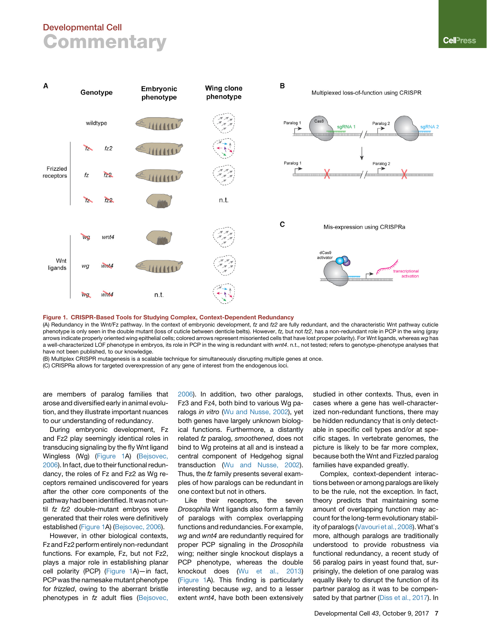## Developmental Cell **Commentary**

<span id="page-1-0"></span>

#### Figure 1. CRISPR-Based Tools for Studying Complex, Context-Dependent Redundancy

(A) Redundancy in the Wnt/Fz pathway. In the context of embryonic development, *fz* and *fz2* are fully redundant, and the characteristic Wnt pathway cuticle phenotype is only seen in the double mutant (loss of cuticle between denticle belts). However, *fz,* but not *fz2*, has a non-redundant role in PCP in the wing (gray arrows indicate properly oriented wing epithelial cells; colored arrows represent misoriented cells that have lost proper polarity). For Wnt ligands, whereas *wg* has a well-characterized LOF phenotype in embryos, its role in PCP in the wing is redundant with *wnt4*. n.t., not tested; refers to genotype-phenotype analyses that have not been published, to our knowledge.

(B) Multiplex CRISPR mutagenesis is a scalable technique for simultaneously disrupting multiple genes at once.

(C) CRISPRa allows for targeted overexpression of any gene of interest from the endogenous loci.

are members of paralog families that arose and diversified early in animal evolution, and they illustrate important nuances to our understanding of redundancy.

During embryonic development, Fz and Fz2 play seemingly identical roles in transducing signaling by the fly Wnt ligand Wingless (Wg) [\(Figure 1A](#page-1-0)) ([Bejsovec,](#page-3-3) [2006\)](#page-3-3). In fact, due to their functional redundancy, the roles of Fz and Fz2 as Wg receptors remained undiscovered for years after the other core components of the pathway had been identified. It was not until *fz fz2* double-mutant embryos were generated that their roles were definitively established [\(Figure 1](#page-1-0)A) [\(Bejsovec, 2006\)](#page-3-3).

However, in other biological contexts, Fz and Fz2 perform entirely non-redundant functions. For example, Fz, but not Fz2, plays a major role in establishing planar cell polarity (PCP) ([Figure 1A](#page-1-0))—in fact, PCP was the namesake mutant phenotype for *frizzled*, owing to the aberrant bristle phenotypes in *fz* adult flies ([Bejsovec,](#page-3-3) [2006](#page-3-3)). In addition, two other paralogs, Fz3 and Fz4, both bind to various Wg paralogs *in vitro* [\(Wu and Nusse, 2002\)](#page-3-4), yet both genes have largely unknown biological functions. Furthermore, a distantly related *fz* paralog, *smoothened*, does not bind to Wg proteins at all and is instead a central component of Hedgehog signal transduction [\(Wu and Nusse, 2002](#page-3-4)). Thus, the *fz* family presents several examples of how paralogs can be redundant in one context but not in others.

Like their receptors, the seven *Drosophila* Wnt ligands also form a family of paralogs with complex overlapping functions and redundancies. For example, *wg* and *wnt4* are redundantly required for proper PCP signaling in the *Drosophila* wing; neither single knockout displays a PCP phenotype, whereas the double knockout does [\(Wu et al., 2013\)](#page-3-5) ([Figure 1](#page-1-0)A). This finding is particularly interesting because *wg*, and to a lesser extent *wnt4*, have both been extensively

studied in other contexts. Thus, even in cases where a gene has well-characterized non-redundant functions, there may be hidden redundancy that is only detectable in specific cell types and/or at specific stages. In vertebrate genomes, the picture is likely to be far more complex, because both the Wnt and Fizzled paralog families have expanded greatly.

Complex, context-dependent interactions between or among paralogs are likely to be the rule, not the exception. In fact, theory predicts that maintaining some amount of overlapping function may account for the long-term evolutionary stability of paralogs [\(Vavouri et al., 2008](#page-3-2)). What's more, although paralogs are traditionally understood to provide robustness via functional redundancy, a recent study of 56 paralog pairs in yeast found that, surprisingly, the deletion of one paralog was equally likely to disrupt the function of its partner paralog as it was to be compensated by that partner [\(Diss et al., 2017\)](#page-3-6). In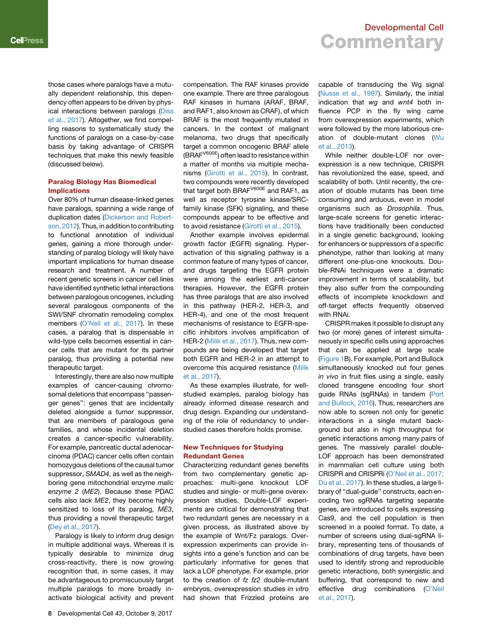those cases where paralogs have a mutually dependent relationship, this dependency often appears to be driven by physical interactions between paralogs [\(Diss](#page-3-6) [et al., 2017](#page-3-6)). Altogether, we find compelling reasons to systematically study the functions of paralogs on a case-by-case basis by taking advantage of CRISPR techniques that make this newly feasible (discussed below).

### Paralog Biology Has Biomedical Implications

Over 80% of human disease-linked genes have paralogs, spanning a wide range of duplication dates [\(Dickerson and Robert](#page-3-7)[son, 2012](#page-3-7)). Thus, in addition to contributing to functional annotation of individual genes, gaining a more thorough understanding of paralog biology will likely have important implications for human disease research and treatment. A number of recent genetic screens in cancer cell lines have identified synthetic lethal interactions between paralogous oncogenes, including several paralogous components of the SWI/SNF chromatin remodeling complex members ([O'Neil et al., 2017\)](#page-3-8). In these cases, a paralog that is dispensable in wild-type cells becomes essential in cancer cells that are mutant for its partner paralog, thus providing a potential new therapeutic target.

Interestingly, there are also now multiple examples of cancer-causing chromosomal deletions that encompass ''passenger genes'': genes that are incidentally deleted alongside a tumor suppressor, that are members of paralogous gene families, and whose incidental deletion creates a cancer-specific vulnerability. For example, pancreatic ductal adenocarcinoma (PDAC) cancer cells often contain homozygous deletions of the causal tumor suppressor, *SMAD4*, as well as the neighboring gene mitochondrial enzyme *malic enzyme 2* (*ME2*). Because these PDAC cells also lack *ME2*, they become highly sensitized to loss of its paralog, *ME3*, thus providing a novel therapeutic target ([Dey et al., 2017\)](#page-3-9).

Paralogy is likely to inform drug design in multiple additional ways. Whereas it is typically desirable to minimize drug cross-reactivity, there is now growing recognition that, in some cases, it may be advantageous to promiscuously target multiple paralogs to more broadly inactivate biological activity and prevent

compensation. The RAF kinases provide one example. There are three paralogous RAF kinases in humans (ARAF, BRAF, and RAF1, also known as CRAF), of which BRAF is the most frequently mutated in cancers. In the context of malignant melanoma, two drugs that specifically target a common oncogenic BRAF allele (BRAFV600E) often lead to resistance within a matter of months via multiple mechanisms ([Girotti et al., 2015](#page-3-10)). In contrast, two compounds were recently developed that target both BRAF<sup>V600E</sup> and RAF1, as well as receptor tyrosine kinase/SRCfamily kinase (SFK) signaling, and these compounds appear to be effective and to avoid resistance ([Girotti et al., 2015](#page-3-10)).

Another example involves epidermal growth factor (EGFR) signaling. Hyperactivation of this signaling pathway is a common feature of many types of cancer, and drugs targeting the EGFR protein were among the earliest anti-cancer therapies. However, the EGFR protein has three paralogs that are also involved in this pathway (HER-2, HER-3, and HER-4), and one of the most frequent mechanisms of resistance to EGFR-specific inhibitors involves amplification of HER-2 [\(Milik et al., 2017](#page-3-11)). Thus, new compounds are being developed that target both EGFR and HER-2 in an attempt to overcome this acquired resistance [\(Milik](#page-3-11) [et al., 2017](#page-3-11)).

As these examples illustrate, for wellstudied examples, paralog biology has already informed disease research and drug design. Expanding our understanding of the role of redundancy to understudied cases therefore holds promise.

#### New Techniques for Studying Redundant Genes

Characterizing redundant genes benefits from two complementary genetic approaches: multi-gene knockout LOF studies and single- or multi-gene overexpression studies. Double-LOF experiments are critical for demonstrating that two redundant genes are necessary in a given process, as illustrated above by the example of Wnt/Fz paralogs. Overexpression experiments can provide insights into a gene's function and can be particularly informative for genes that lack a LOF phenotype. For example, prior to the creation of *fz fz2* double-mutant embryos, overexpression studies *in vitro* had shown that Frizzled proteins are

## Developmental Cell **Commentary**

capable of transducing the Wg signal ([Nusse et al., 1997\)](#page-3-12). Similarly, the initial indication that *wg* and *wnt4* both influence PCP in the fly wing came from overexpression experiments, which were followed by the more laborious creation of double-mutant clones [\(Wu](#page-3-5) [et al., 2013](#page-3-5)).

While neither double-LOF nor overexpression is a new technique, CRISPR has revolutionized the ease, speed, and scalability of both. Until recently, the creation of double mutants has been time consuming and arduous, even in model organisms such as *Drosophila*. Thus, large-scale screens for genetic interactions have traditionally been conducted in a single genetic background, looking for enhancers or suppressors of a specific phenotype, rather than looking at many different one-plus-one knockouts. Double-RNAi techniques were a dramatic improvement in terms of scalability, but they also suffer from the compounding effects of incomplete knockdown and off-target effects frequently observed with RNAi.

CRISPR makes it possible to disrupt any two (or more) genes of interest simultaneously in specific cells using approaches that can be applied at large scale ([Figure 1B](#page-1-0)). For example, Port and Bullock simultaneously knocked out four genes *in vivo* in fruit flies using a single, easily cloned transgene encoding four short guide RNAs (sgRNAs) in tandem [\(Port](#page-3-13) [and Bullock, 2016\)](#page-3-13). Thus, researchers are now able to screen not only for genetic interactions in a single mutant background but also in high throughput for genetic interactions among many pairs of genes. The massively parallel double-LOF approach has been demonstrated in mammalian cell culture using both CRISPR and CRISPRi ([O'Neil et al., 2017;](#page-3-8) [Du et al., 2017\)](#page-3-8). In these studies, a large library of ''dual-guide'' constructs, each encoding two sgRNAs targeting separate genes, are introduced to cells expressing Cas9, and the cell population is then screened in a pooled format. To date, a number of screens using dual-sgRNA library, representing tens of thousands of combinations of drug targets, have been used to identify strong and reproducible genetic interactions, both synergistic and buffering, that correspond to new and effective drug combinations ([O'Neil](#page-3-8) [et al., 2017\)](#page-3-8).